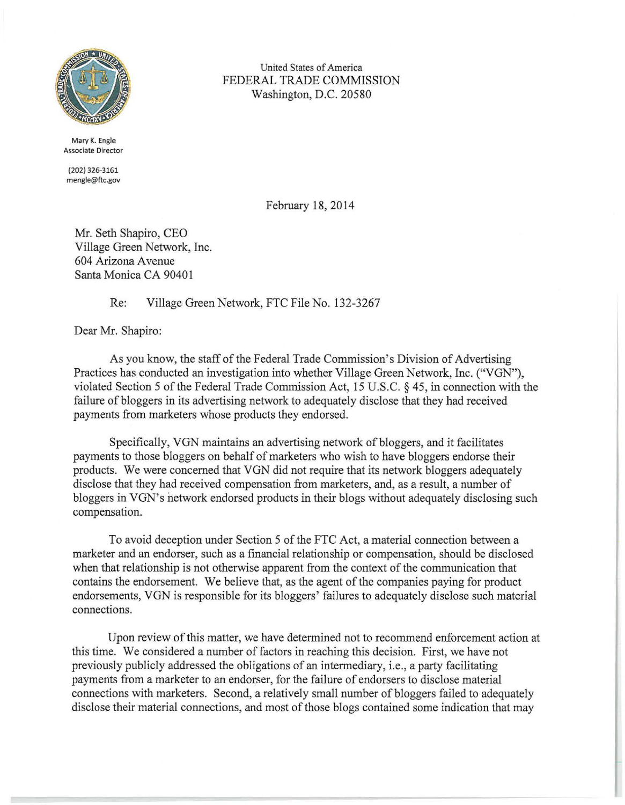

Mary K. Engle Associate Director

(202) 326·3161 mengle@ftc.gov

United States of America FEDERAL TRADE COMMISSION Washington, D.C. 20580

February 18, 2014

Mr. Seth Shapiro, CEO Village Green Network, Inc. 604 Arizona A venue Santa Monica CA 90401

Re: Village Green Network, FTC File No. 132-3267

Dear Mr. Shapiro:

As you know, the staff of the Federal Trade Commission's Division of Advertising Practices has conducted an investigation into whether Village Green Network, Inc. ("VGN"), violated Section 5 of the Federal Trade Commission Act, 15 U.S.C. § 45, in connection with the failure of bloggers in its advertising network to adequately disclose that they had received payments from marketers whose products they endorsed.

Specifically, VGN maintains an advertising network of bloggers, and it facilitates payments to those bloggers on behalf of marketers who wish to have bloggers endorse their products. We were concerned that VGN did not require that its network bloggers adequately disclose that they had received compensation from marketers, and, as a result, a number of bloggers in VGN's network endorsed products in their blogs without adequately disclosing such compensation.

To avoid deception under Section 5 of the FTC Act, a material connection between a marketer and an endorser, such as a financial relationship or compensation, should be disclosed when that relationship is not otherwise apparent from the context of the communication that contains the endorsement. We believe that, as the agent of the companies paying for product endorsements, VGN is responsible for its bloggers' failures to adequately disclose such material connections.

Upon review of this matter, we have determined not to recommend enforcement action at this time. We considered a number of factors in reaching this decision. First, we have not previously publicly addressed the obligations of an intermediary, i.e., a party facilitating payments from a marketer to an endorser, for the failure of endorsers to disclose material connections with marketers. Second, a relatively small number of bloggers failed to adequately disclose their material connections, and most of those blogs contained some indication that may